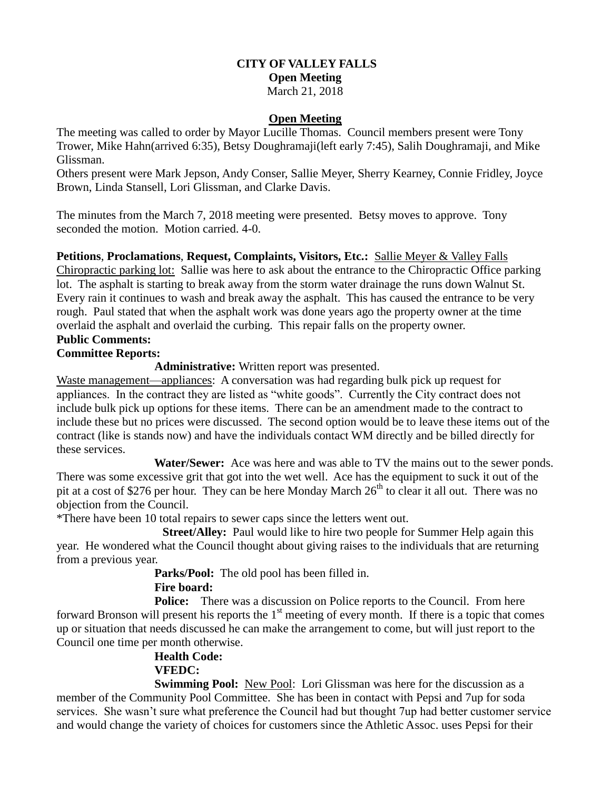#### **CITY OF VALLEY FALLS Open Meeting** March 21, 2018

#### **Open Meeting**

The meeting was called to order by Mayor Lucille Thomas. Council members present were Tony Trower, Mike Hahn(arrived 6:35), Betsy Doughramaji(left early 7:45), Salih Doughramaji, and Mike Glissman.

Others present were Mark Jepson, Andy Conser, Sallie Meyer, Sherry Kearney, Connie Fridley, Joyce Brown, Linda Stansell, Lori Glissman, and Clarke Davis.

The minutes from the March 7, 2018 meeting were presented. Betsy moves to approve. Tony seconded the motion. Motion carried. 4-0.

**Petitions**, **Proclamations**, **Request, Complaints, Visitors, Etc.:** Sallie Meyer & Valley Falls Chiropractic parking lot: Sallie was here to ask about the entrance to the Chiropractic Office parking lot. The asphalt is starting to break away from the storm water drainage the runs down Walnut St. Every rain it continues to wash and break away the asphalt. This has caused the entrance to be very rough. Paul stated that when the asphalt work was done years ago the property owner at the time overlaid the asphalt and overlaid the curbing. This repair falls on the property owner. **Public Comments:** 

# **Committee Reports:**

### **Administrative:** Written report was presented.

Waste management—appliances: A conversation was had regarding bulk pick up request for appliances. In the contract they are listed as "white goods". Currently the City contract does not include bulk pick up options for these items. There can be an amendment made to the contract to include these but no prices were discussed. The second option would be to leave these items out of the contract (like is stands now) and have the individuals contact WM directly and be billed directly for these services.

 **Water/Sewer:** Ace was here and was able to TV the mains out to the sewer ponds. There was some excessive grit that got into the wet well. Ace has the equipment to suck it out of the pit at a cost of \$276 per hour. They can be here Monday March 26<sup>th</sup> to clear it all out. There was no objection from the Council.

\*There have been 10 total repairs to sewer caps since the letters went out.

**Street/Alley:** Paul would like to hire two people for Summer Help again this year. He wondered what the Council thought about giving raises to the individuals that are returning from a previous year.

**Parks/Pool:** The old pool has been filled in.

#### **Fire board:**

**Police:** There was a discussion on Police reports to the Council. From here forward Bronson will present his reports the  $1<sup>st</sup>$  meeting of every month. If there is a topic that comes up or situation that needs discussed he can make the arrangement to come, but will just report to the Council one time per month otherwise.

## **Health Code: VFEDC:**

**Swimming Pool:** New Pool: Lori Glissman was here for the discussion as a member of the Community Pool Committee. She has been in contact with Pepsi and 7up for soda services. She wasn't sure what preference the Council had but thought 7up had better customer service and would change the variety of choices for customers since the Athletic Assoc. uses Pepsi for their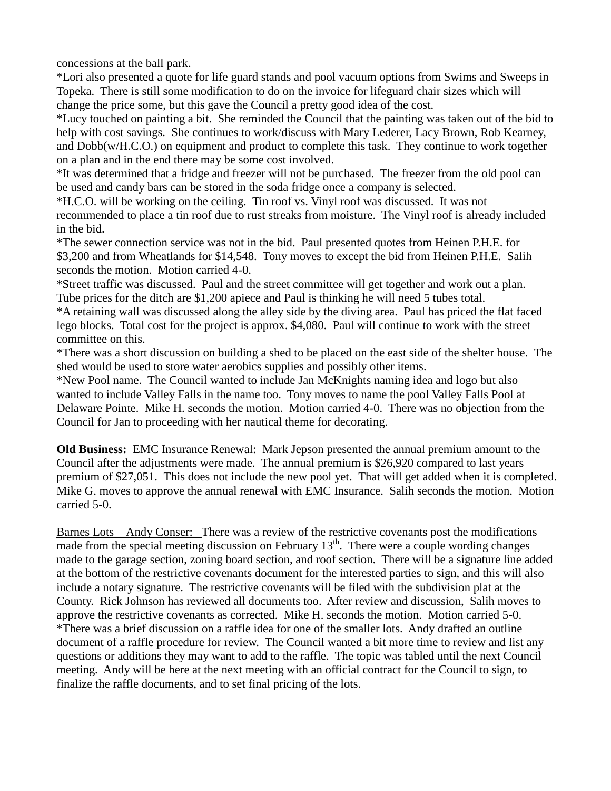concessions at the ball park.

\*Lori also presented a quote for life guard stands and pool vacuum options from Swims and Sweeps in Topeka. There is still some modification to do on the invoice for lifeguard chair sizes which will change the price some, but this gave the Council a pretty good idea of the cost.

\*Lucy touched on painting a bit. She reminded the Council that the painting was taken out of the bid to help with cost savings. She continues to work/discuss with Mary Lederer, Lacy Brown, Rob Kearney, and Dobb(w/H.C.O.) on equipment and product to complete this task. They continue to work together on a plan and in the end there may be some cost involved.

\*It was determined that a fridge and freezer will not be purchased. The freezer from the old pool can be used and candy bars can be stored in the soda fridge once a company is selected.

\*H.C.O. will be working on the ceiling. Tin roof vs. Vinyl roof was discussed. It was not recommended to place a tin roof due to rust streaks from moisture. The Vinyl roof is already included in the bid.

\*The sewer connection service was not in the bid. Paul presented quotes from Heinen P.H.E. for \$3,200 and from Wheatlands for \$14,548. Tony moves to except the bid from Heinen P.H.E. Salih seconds the motion. Motion carried 4-0.

\*Street traffic was discussed. Paul and the street committee will get together and work out a plan. Tube prices for the ditch are \$1,200 apiece and Paul is thinking he will need 5 tubes total.

\*A retaining wall was discussed along the alley side by the diving area. Paul has priced the flat faced lego blocks. Total cost for the project is approx. \$4,080. Paul will continue to work with the street committee on this.

\*There was a short discussion on building a shed to be placed on the east side of the shelter house. The shed would be used to store water aerobics supplies and possibly other items.

\*New Pool name. The Council wanted to include Jan McKnights naming idea and logo but also wanted to include Valley Falls in the name too. Tony moves to name the pool Valley Falls Pool at Delaware Pointe. Mike H. seconds the motion. Motion carried 4-0. There was no objection from the Council for Jan to proceeding with her nautical theme for decorating.

**Old Business:** EMC Insurance Renewal: Mark Jepson presented the annual premium amount to the Council after the adjustments were made. The annual premium is \$26,920 compared to last years premium of \$27,051. This does not include the new pool yet. That will get added when it is completed. Mike G. moves to approve the annual renewal with EMC Insurance. Salih seconds the motion. Motion carried 5-0.

Barnes Lots—Andy Conser: There was a review of the restrictive covenants post the modifications made from the special meeting discussion on February  $13<sup>th</sup>$ . There were a couple wording changes made to the garage section, zoning board section, and roof section. There will be a signature line added at the bottom of the restrictive covenants document for the interested parties to sign, and this will also include a notary signature. The restrictive covenants will be filed with the subdivision plat at the County. Rick Johnson has reviewed all documents too. After review and discussion, Salih moves to approve the restrictive covenants as corrected. Mike H. seconds the motion. Motion carried 5-0. \*There was a brief discussion on a raffle idea for one of the smaller lots. Andy drafted an outline document of a raffle procedure for review. The Council wanted a bit more time to review and list any questions or additions they may want to add to the raffle. The topic was tabled until the next Council meeting. Andy will be here at the next meeting with an official contract for the Council to sign, to finalize the raffle documents, and to set final pricing of the lots.